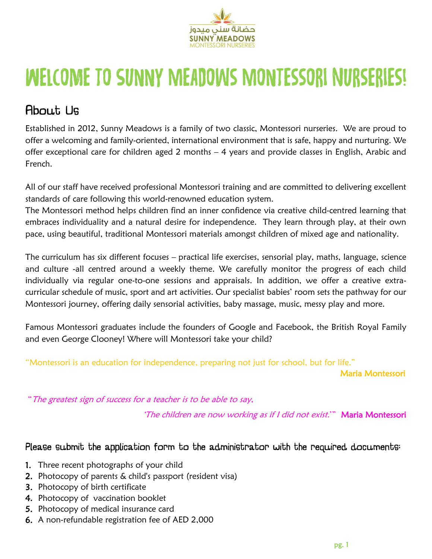

# WELCOME TO SUNNY MEADOWS MONTESSORI NURSERIES!

## $R$ bout  $\mathsf{L}$

Established in 2012, Sunny Meadows is a family of two classic, Montessori nurseries. We are proud to offer a welcoming and family-oriented, international environment that is safe, happy and nurturing. We offer exceptional care for children aged 2 months – 4 years and provide classes in English, Arabic and French.

All of our staff have received professional Montessori training and are committed to delivering excellent standards of care following this world-renowned education system.

The Montessori method helps children find an inner confidence via creative child-centred learning that embraces individuality and a natural desire for independence. They learn through play, at their own pace, using beautiful, traditional Montessori materials amongst children of mixed age and nationality.

The curriculum has six different focuses – practical life exercises, sensorial play, maths, language, science and culture -all centred around a weekly theme. We carefully monitor the progress of each child individually via regular one-to-one sessions and appraisals. In addition, we offer a creative extracurricular schedule of music, sport and art activities. Our specialist babies' room sets the pathway for our Montessori journey, offering daily sensorial activities, baby massage, music, messy play and more.

Famous Montessori graduates include the founders of Google and Facebook, the British Royal Family and even George Clooney! Where will Montessori take your child?

"Montessori is an education for independence, preparing not just for school, but for life."

Maria Montessori

"The greatest sign of success for a teacher is to be able to say,

'The children are now working as if I did not exist.'" Maria Montessori

### Please submit the application form to the administrator with the required documents:

- 1. Three recent photographs of your child
- 2. Photocopy of parents & child's passport (resident visa)
- 3. Photocopy of birth certificate
- 4. Photocopy of vaccination booklet
- 5. Photocopy of medical insurance card
- 6. A non-refundable registration fee of AED 2,000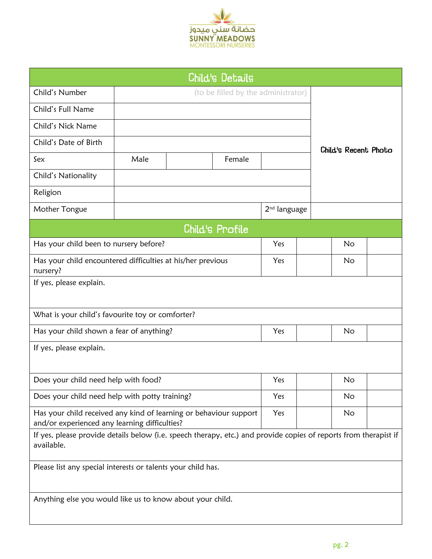

| Child's Details                                                                                                                 |                                     |  |                 |                          |  |                      |  |
|---------------------------------------------------------------------------------------------------------------------------------|-------------------------------------|--|-----------------|--------------------------|--|----------------------|--|
| Child's Number                                                                                                                  | (to be filled by the administrator) |  |                 |                          |  |                      |  |
| Child's Full Name                                                                                                               |                                     |  |                 |                          |  |                      |  |
| Child's Nick Name                                                                                                               |                                     |  |                 |                          |  |                      |  |
| Child's Date of Birth                                                                                                           |                                     |  |                 |                          |  | Child's Recent Photo |  |
| Sex                                                                                                                             | Male                                |  | Female          |                          |  |                      |  |
| Child's Nationality                                                                                                             |                                     |  |                 |                          |  |                      |  |
| Religion                                                                                                                        |                                     |  |                 |                          |  |                      |  |
| Mother Tongue                                                                                                                   |                                     |  |                 | 2 <sup>nd</sup> language |  |                      |  |
|                                                                                                                                 |                                     |  | Child's Profile |                          |  |                      |  |
| Has your child been to nursery before?<br>Yes                                                                                   |                                     |  |                 |                          |  | No                   |  |
| Has your child encountered difficulties at his/her previous<br>Yes<br>nursery?                                                  |                                     |  |                 |                          |  | No                   |  |
| If yes, please explain.                                                                                                         |                                     |  |                 |                          |  |                      |  |
| What is your child's favourite toy or comforter?                                                                                |                                     |  |                 |                          |  |                      |  |
| Has your child shown a fear of anything?<br>Yes<br>No                                                                           |                                     |  |                 |                          |  |                      |  |
| If yes, please explain.                                                                                                         |                                     |  |                 |                          |  |                      |  |
| Does your child need help with food?<br>Yes                                                                                     |                                     |  |                 |                          |  | No                   |  |
| Does your child need help with potty training?<br>Yes                                                                           |                                     |  |                 |                          |  | No                   |  |
| Has your child received any kind of learning or behaviour support<br>Yes<br>No<br>and/or experienced any learning difficulties? |                                     |  |                 |                          |  |                      |  |
| If yes, please provide details below (i.e. speech therapy, etc.) and provide copies of reports from therapist if<br>available.  |                                     |  |                 |                          |  |                      |  |
| Please list any special interests or talents your child has.                                                                    |                                     |  |                 |                          |  |                      |  |
| Anything else you would like us to know about your child.                                                                       |                                     |  |                 |                          |  |                      |  |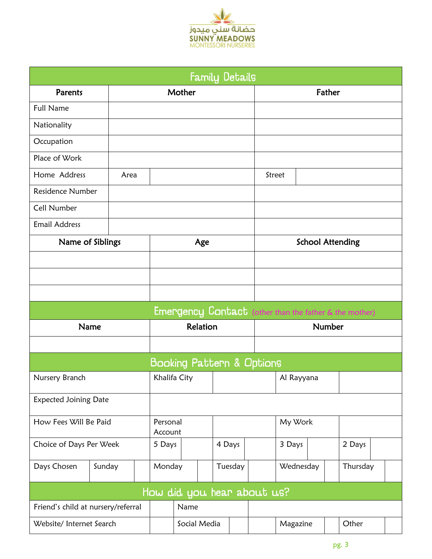

| <b>Family Details</b>              |              |          |                                      |          |         |         |            |           |        |                                                               |  |
|------------------------------------|--------------|----------|--------------------------------------|----------|---------|---------|------------|-----------|--------|---------------------------------------------------------------|--|
| <b>Parents</b>                     |              | Mother   |                                      |          |         |         |            |           | Father |                                                               |  |
| <b>Full Name</b>                   |              |          |                                      |          |         |         |            |           |        |                                                               |  |
| Nationality                        |              |          |                                      |          |         |         |            |           |        |                                                               |  |
| Occupation                         |              |          |                                      |          |         |         |            |           |        |                                                               |  |
| Place of Work                      |              |          |                                      |          |         |         |            |           |        |                                                               |  |
| Home Address                       | Area         |          |                                      |          |         |         |            | Street    |        |                                                               |  |
| Residence Number                   |              |          |                                      |          |         |         |            |           |        |                                                               |  |
| <b>Cell Number</b>                 |              |          |                                      |          |         |         |            |           |        |                                                               |  |
| <b>Email Address</b>               |              |          |                                      |          |         |         |            |           |        |                                                               |  |
| Name of Siblings                   |              |          |                                      | Age      |         |         |            |           |        | <b>School Attending</b>                                       |  |
|                                    |              |          |                                      |          |         |         |            |           |        |                                                               |  |
|                                    |              |          |                                      |          |         |         |            |           |        |                                                               |  |
|                                    |              |          |                                      |          |         |         |            |           |        |                                                               |  |
|                                    |              |          |                                      |          |         |         |            |           |        | <b>Emengency Contact</b> (other than the father & the mother) |  |
| Name                               |              |          | Relation                             |          |         |         | Number     |           |        |                                                               |  |
|                                    |              |          |                                      |          |         |         |            |           |        |                                                               |  |
|                                    |              |          | <b>Booking Pattern &amp; Options</b> |          |         |         |            |           |        |                                                               |  |
| Nursery Branch                     |              |          | Khalifa City                         |          |         |         | Al Rayyana |           |        |                                                               |  |
| <b>Expected Joining Date</b>       |              |          |                                      |          |         |         |            |           |        |                                                               |  |
| How Fees Will Be Paid              |              | Personal |                                      |          | My Work |         |            |           |        |                                                               |  |
|                                    |              | Account  |                                      |          |         |         |            |           |        |                                                               |  |
| Choice of Days Per Week            |              | 5 Days   |                                      |          | 4 Days  |         |            | 3 Days    |        | 2 Days                                                        |  |
| Days Chosen                        | Sunday       |          | Monday                               |          |         | Tuesday |            | Wednesday |        | Thursday                                                      |  |
| How did you hear about us?         |              |          |                                      |          |         |         |            |           |        |                                                               |  |
| Friend's child at nursery/referral |              | Name     |                                      |          |         |         |            |           |        |                                                               |  |
| Website/ Internet Search           | Social Media |          |                                      | Magazine |         | Other   |            |           |        |                                                               |  |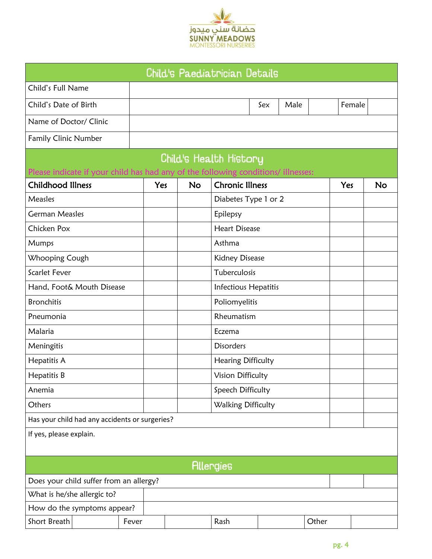

|                                                                                   |     |           | Child's Paediatrician Details |     |      |       |        |           |
|-----------------------------------------------------------------------------------|-----|-----------|-------------------------------|-----|------|-------|--------|-----------|
| Child's Full Name                                                                 |     |           |                               |     |      |       |        |           |
| Child's Date of Birth                                                             |     |           |                               | Sex | Male |       | Female |           |
| Name of Doctor/ Clinic                                                            |     |           |                               |     |      |       |        |           |
| <b>Family Clinic Number</b>                                                       |     |           |                               |     |      |       |        |           |
|                                                                                   |     |           | Child's Health History        |     |      |       |        |           |
| Please indicate if your child has had any of the following conditions/ illnesses: |     |           |                               |     |      |       |        |           |
| <b>Childhood Illness</b>                                                          | Yes | <b>No</b> | <b>Chronic Illness</b>        |     |      |       | Yes    | <b>No</b> |
| <b>Measles</b>                                                                    |     |           | Diabetes Type 1 or 2          |     |      |       |        |           |
| <b>German Measles</b>                                                             |     |           | Epilepsy                      |     |      |       |        |           |
| Chicken Pox                                                                       |     |           | <b>Heart Disease</b>          |     |      |       |        |           |
| Mumps                                                                             |     |           | Asthma                        |     |      |       |        |           |
| Whooping Cough                                                                    |     |           | Kidney Disease                |     |      |       |        |           |
| <b>Scarlet Fever</b>                                                              |     |           | Tuberculosis                  |     |      |       |        |           |
| Hand, Foot& Mouth Disease                                                         |     |           | Infectious Hepatitis          |     |      |       |        |           |
| <b>Bronchitis</b>                                                                 |     |           | Poliomyelitis                 |     |      |       |        |           |
| Pneumonia                                                                         |     |           | Rheumatism                    |     |      |       |        |           |
| Malaria                                                                           |     |           | Eczema                        |     |      |       |        |           |
| Meningitis                                                                        |     |           | <b>Disorders</b>              |     |      |       |        |           |
| Hepatitis A                                                                       |     |           | <b>Hearing Difficulty</b>     |     |      |       |        |           |
| Hepatitis B                                                                       |     |           | Vision Difficulty             |     |      |       |        |           |
| Anemia                                                                            |     |           | Speech Difficulty             |     |      |       |        |           |
| Others                                                                            |     |           | Walking Difficulty            |     |      |       |        |           |
| Has your child had any accidents or surgeries?                                    |     |           |                               |     |      |       |        |           |
| If yes, please explain.                                                           |     |           |                               |     |      |       |        |           |
| <b>Allergies</b>                                                                  |     |           |                               |     |      |       |        |           |
| Does your child suffer from an allergy?                                           |     |           |                               |     |      |       |        |           |
| What is he/she allergic to?                                                       |     |           |                               |     |      |       |        |           |
| How do the symptoms appear?                                                       |     |           |                               |     |      |       |        |           |
| Fever<br>Short Breath                                                             |     |           | Rash                          |     |      | Other |        |           |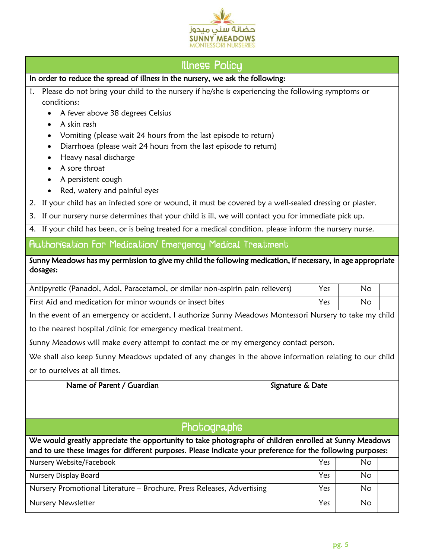

## **Illness Policy**

In order to reduce the spread of illness in the nursery, we ask the following:

- 1. Please do not bring your child to the nursery if he/she is experiencing the following symptoms or conditions:
	- A fever above 38 degrees Celsius
	- A skin rash
	- Vomiting (please wait 24 hours from the last episode to return)
	- Diarrhoea (please wait 24 hours from the last episode to return)
	- Heavy nasal discharge
	- A sore throat
	- A persistent cough
	- Red, watery and painful eyes

2. If your child has an infected sore or wound, it must be covered by a well-sealed dressing or plaster.

3. If our nursery nurse determines that your child is ill, we will contact you for immediate pick up.

4. If your child has been, or is being treated for a medical condition, please inform the nursery nurse.

Authorisation For Medication/ Emergency Medical Treatment

 Sunny Meadows has my permission to give my child the following medication, if necessary, in age appropriate dosages:

| Antipyretic (Panadol, Adol, Paracetamol, or similar non-aspirin pain relievers) | Yes  | No  |  |
|---------------------------------------------------------------------------------|------|-----|--|
| First Aid and medication for minor wounds or insect bites                       | Yes. | No. |  |

 In the event of an emergency or accident, I authorize Sunny Meadows Montessori Nursery to take my child to the nearest hospital /clinic for emergency medical treatment.

Sunny Meadows will make every attempt to contact me or my emergency contact person.

We shall also keep Sunny Meadows updated of any changes in the above information relating to our child or to ourselves at all times.

Name of Parent / Guardian

Signature & Date

## Photographs

We would greatly appreciate the opportunity to take photographs of children enrolled at Sunny Meadows and to use these images for different purposes. Please indicate your preference for the following purposes:

| Nursery Website/Facebook                                               | Yes | No.       |  |
|------------------------------------------------------------------------|-----|-----------|--|
| Nursery Display Board                                                  | Yes | No        |  |
| Nursery Promotional Literature – Brochure, Press Releases, Advertising | Yes | No.       |  |
| <b>Nursery Newsletter</b>                                              | Yes | <b>No</b> |  |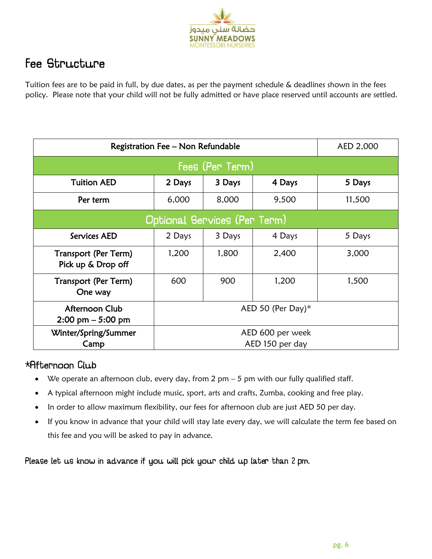

## Fee Structure

Tuition fees are to be paid in full, by due dates, as per the payment schedule & deadlines shown in the fees policy. Please note that your child will not be fully admitted or have place reserved until accounts are settled.

| Registration Fee - Non Refundable                     | AED 2,000                           |        |        |        |  |  |
|-------------------------------------------------------|-------------------------------------|--------|--------|--------|--|--|
| Fees (Per Term)                                       |                                     |        |        |        |  |  |
| <b>Tuition AED</b>                                    | 2 Days                              | 3 Days | 4 Days | 5 Days |  |  |
| Per term                                              | 6,000                               | 8,000  | 9,500  | 11,500 |  |  |
| Optional Services (Per Term)                          |                                     |        |        |        |  |  |
| Services AED                                          | 2 Days                              | 3 Days | 4 Days | 5 Days |  |  |
| Transport (Per Term)<br>Pick up & Drop off            | 1,200                               | 1,800  | 2,400  | 3,000  |  |  |
| <b>Transport (Per Term)</b><br>One way                | 600                                 | 900    | 1,200  | 1,500  |  |  |
| Afternoon Club<br>$2:00 \text{ pm} - 5:00 \text{ pm}$ | AED 50 (Per Day)*                   |        |        |        |  |  |
| Winter/Spring/Summer<br>Camp                          | AED 600 per week<br>AED 150 per day |        |        |        |  |  |

\*Afternoon Club

- $\bullet$  We operate an afternoon club, every day, from 2 pm  $-5$  pm with our fully qualified staff.
- A typical afternoon might include music, sport, arts and crafts, Zumba, cooking and free play.
- In order to allow maximum flexibility, our fees for afternoon club are just AED 50 per day.
- If you know in advance that your child will stay late every day, we will calculate the term fee based on this fee and you will be asked to pay in advance.

Please let us know in advance if you will pick your child up later than 2 pm.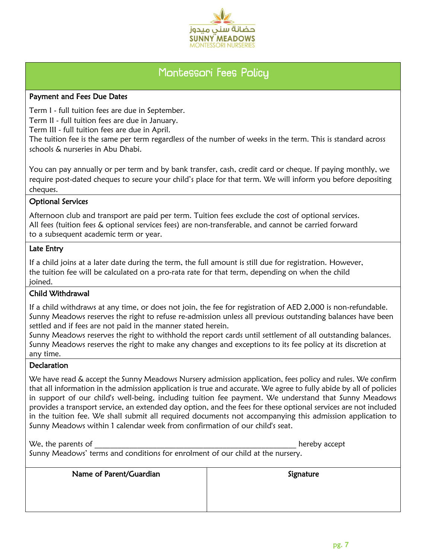

## Montessori Fees Policy

#### Payment and Fees Due Dates

Term I - full tuition fees are due in September.

Term II - full tuition fees are due in January.

Term III - full tuition fees are due in April.

The tuition fee is the same per term regardless of the number of weeks in the term. This is standard across schools & nurseries in Abu Dhabi.

You can pay annually or per term and by bank transfer, cash, credit card or cheque. If paying monthly, we require post-dated cheques to secure your child's place for that term. We will inform you before depositing cheques.

#### Optional Services

Afternoon club and transport are paid per term. Tuition fees exclude the cost of optional services. All fees (tuition fees & optional services fees) are non-transferable, and cannot be carried forward to a subsequent academic term or year.

#### Late Entry

If a child joins at a later date during the term, the full amount is still due for registration. However, the tuition fee will be calculated on a pro-rata rate for that term, depending on when the child joined.

#### Child Withdrawal

If a child withdraws at any time, or does not join, the fee for registration of AED 2,000 is non-refundable. Sunny Meadows reserves the right to refuse re-admission unless all previous outstanding balances have been settled and if fees are not paid in the manner stated herein.

Sunny Meadows reserves the right to withhold the report cards until settlement of all outstanding balances. Sunny Meadows reserves the right to make any changes and exceptions to its fee policy at its discretion at any time.

#### **Declaration**

We have read & accept the Sunny Meadows Nursery admission application, fees policy and rules. We confirm that all information in the admission application is true and accurate. We agree to fully abide by all of policies in support of our child's well-being, including tuition fee payment. We understand that Sunny Meadows provides a transport service, an extended day option, and the fees for these optional services are not included in the tuition fee. We shall submit all required documents not accompanying this admission application to Sunny Meadows within 1 calendar week from confirmation of our child's seat.

We, the parents of the parents of the parents of the parents of the parents of the parents of the parents of the parents of the parents of the parents of the parents of the parents of the parents of the parents of the pare

Sunny Meadows' terms and conditions for enrolment of our child at the nursery.

| Name of Parent/Guardian | Signature |
|-------------------------|-----------|
|                         |           |
|                         |           |